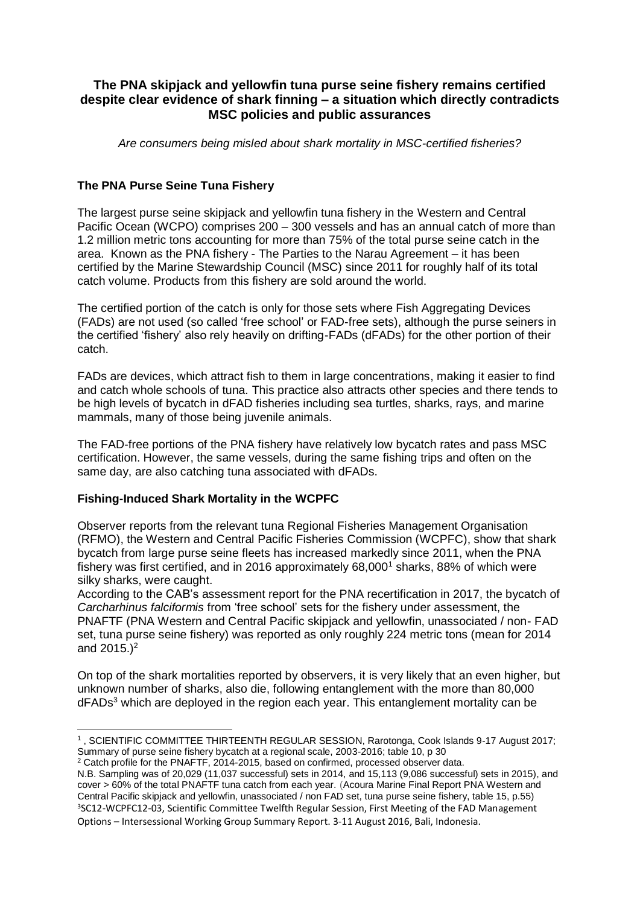# **The PNA skipjack and yellowfin tuna purse seine fishery remains certified despite clear evidence of shark finning – a situation which directly contradicts MSC policies and public assurances**

*Are consumers being misled about shark mortality in MSC-certified fisheries?*

#### **The PNA Purse Seine Tuna Fishery**

The largest purse seine skipjack and yellowfin tuna fishery in the Western and Central Pacific Ocean (WCPO) comprises 200 – 300 vessels and has an annual catch of more than 1.2 million metric tons accounting for more than 75% of the total purse seine catch in the area. Known as the PNA fishery - The Parties to the Narau Agreement – it has been certified by the Marine Stewardship Council (MSC) since 2011 for roughly half of its total catch volume. Products from this fishery are sold around the world.

The certified portion of the catch is only for those sets where Fish Aggregating Devices (FADs) are not used (so called 'free school' or FAD-free sets), although the purse seiners in the certified 'fishery' also rely heavily on drifting-FADs (dFADs) for the other portion of their catch.

FADs are devices, which attract fish to them in large concentrations, making it easier to find and catch whole schools of tuna. This practice also attracts other species and there tends to be high levels of bycatch in dFAD fisheries including sea turtles, sharks, rays, and marine mammals, many of those being juvenile animals.

The FAD-free portions of the PNA fishery have relatively low bycatch rates and pass MSC certification. However, the same vessels, during the same fishing trips and often on the same day, are also catching tuna associated with dFADs.

## **Fishing-Induced Shark Mortality in the WCPFC**

Observer reports from the relevant tuna Regional Fisheries Management Organisation (RFMO), the Western and Central Pacific Fisheries Commission (WCPFC), show that shark bycatch from large purse seine fleets has increased markedly since 2011, when the PNA fishery was first certified, and in 2016 approximately  $68,000<sup>1</sup>$  sharks, 88% of which were silky sharks, were caught.

According to the CAB's assessment report for the PNA recertification in 2017, the bycatch of *Carcharhinus falciformis* from 'free school' sets for the fishery under assessment, the PNAFTF (PNA Western and Central Pacific skipjack and yellowfin, unassociated / non- FAD set, tuna purse seine fishery) was reported as only roughly 224 metric tons (mean for 2014 and 2015.)<sup>2</sup>

On top of the shark mortalities reported by observers, it is very likely that an even higher, but unknown number of sharks, also die, following entanglement with the more than 80,000  $dFADs<sup>3</sup>$  which are deployed in the region each year. This entanglement mortality can be

<sup>.</sup> 1 , SCIENTIFIC COMMITTEE THIRTEENTH REGULAR SESSION, Rarotonga, Cook Islands 9-17 August 2017; Summary of purse seine fishery bycatch at a regional scale, 2003-2016; table 10, p 30

<sup>&</sup>lt;sup>2</sup> Catch profile for the PNAFTF, 2014-2015, based on confirmed, processed observer data.

N.B. Sampling was of 20,029 (11,037 successful) sets in 2014, and 15,113 (9,086 successful) sets in 2015), and cover > 60% of the total PNAFTF tuna catch from each year. (Acoura Marine Final Report PNA Western and Central Pacific skipjack and yellowfin, unassociated / non FAD set, tuna purse seine fishery, table 15, p.55) <sup>3</sup>SC12-WCPFC12-03, Scientific Committee Twelfth Regular Session, First Meeting of the FAD Management Options – Intersessional Working Group Summary Report. 3-11 August 2016, Bali, Indonesia.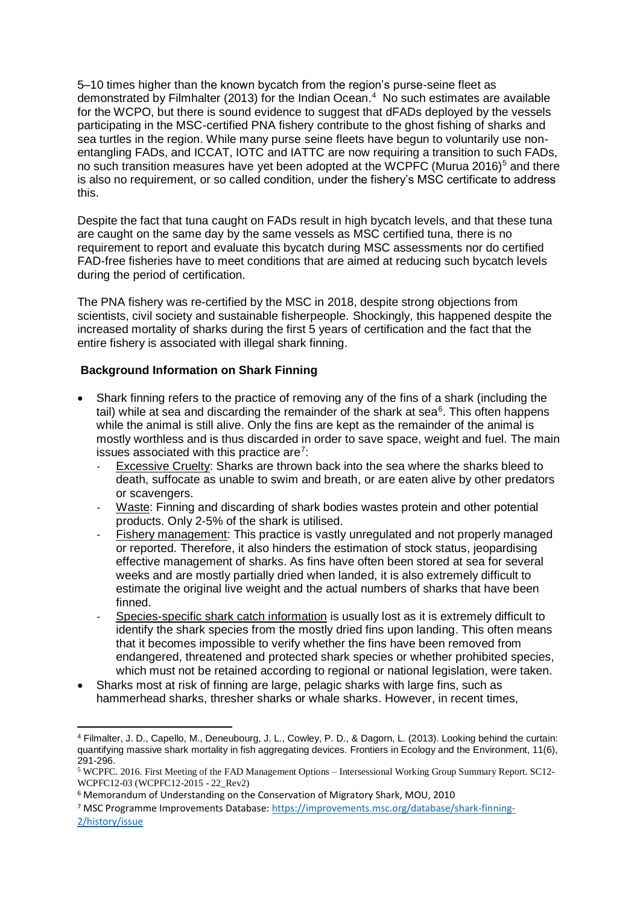5–10 times higher than the known bycatch from the region's purse-seine fleet as demonstrated by Filmhalter (2013) for the Indian Ocean.<sup>4</sup> No such estimates are available for the WCPO, but there is sound evidence to suggest that dFADs deployed by the vessels participating in the MSC-certified PNA fishery contribute to the ghost fishing of sharks and sea turtles in the region. While many purse seine fleets have begun to voluntarily use nonentangling FADs, and ICCAT, IOTC and IATTC are now requiring a transition to such FADs, no such transition measures have yet been adopted at the WCPFC (Murua 2016)<sup>5</sup> and there is also no requirement, or so called condition, under the fishery's MSC certificate to address this.

Despite the fact that tuna caught on FADs result in high bycatch levels, and that these tuna are caught on the same day by the same vessels as MSC certified tuna, there is no requirement to report and evaluate this bycatch during MSC assessments nor do certified FAD-free fisheries have to meet conditions that are aimed at reducing such bycatch levels during the period of certification.

The PNA fishery was re-certified by the MSC in 2018, despite strong objections from scientists, civil society and sustainable fisherpeople. Shockingly, this happened despite the increased mortality of sharks during the first 5 years of certification and the fact that the entire fishery is associated with illegal shark finning.

#### **Background Information on Shark Finning**

- Shark finning refers to the practice of removing any of the fins of a shark (including the tail) while at sea and discarding the remainder of the shark at sea $6$ . This often happens while the animal is still alive. Only the fins are kept as the remainder of the animal is mostly worthless and is thus discarded in order to save space, weight and fuel. The main issues associated with this practice are<sup>7</sup>:
	- Excessive Cruelty: Sharks are thrown back into the sea where the sharks bleed to death, suffocate as unable to swim and breath, or are eaten alive by other predators or scavengers.
	- Waste: Finning and discarding of shark bodies wastes protein and other potential products. Only 2-5% of the shark is utilised.
	- Fishery management: This practice is vastly unregulated and not properly managed or reported. Therefore, it also hinders the estimation of stock status, jeopardising effective management of sharks. As fins have often been stored at sea for several weeks and are mostly partially dried when landed, it is also extremely difficult to estimate the original live weight and the actual numbers of sharks that have been finned.
	- Species-specific shark catch information is usually lost as it is extremely difficult to identify the shark species from the mostly dried fins upon landing. This often means that it becomes impossible to verify whether the fins have been removed from endangered, threatened and protected shark species or whether prohibited species, which must not be retained according to regional or national legislation, were taken.
- Sharks most at risk of finning are large, pelagic sharks with large fins, such as hammerhead sharks, thresher sharks or whale sharks. However, in recent times,

<sup>4</sup> Filmalter, J. D., Capello, M., Deneubourg, J. L., Cowley, P. D., & Dagorn, L. (2013). Looking behind the curtain: quantifying massive shark mortality in fish aggregating devices. Frontiers in Ecology and the Environment, 11(6), 291-296.

<sup>5</sup> WCPFC. 2016. First Meeting of the FAD Management Options – Intersessional Working Group Summary Report. SC12- WCPFC12-03 (WCPFC12-2015 - 22\_Rev2)

<sup>6</sup> Memorandum of Understanding on the Conservation of Migratory Shark, MOU, 2010

<sup>7</sup> MSC Programme Improvements Database: [https://improvements.msc.org/database/shark-finning-](https://improvements.msc.org/database/shark-finning-2/history/issue)[2/history/issue](https://improvements.msc.org/database/shark-finning-2/history/issue)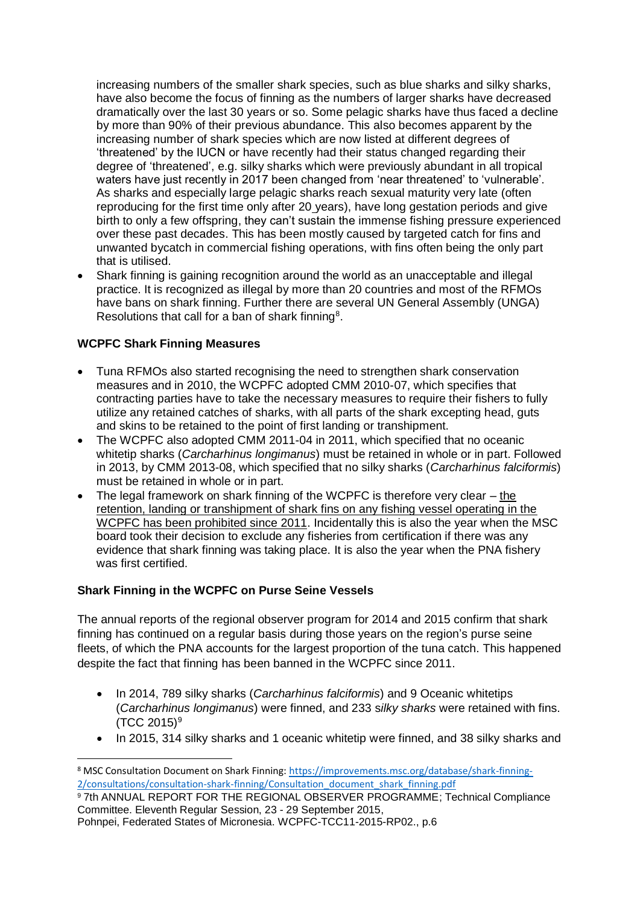increasing numbers of the smaller shark species, such as blue sharks and silky sharks, have also become the focus of finning as the numbers of larger sharks have decreased dramatically over the last 30 years or so. Some pelagic sharks have thus faced a decline by more than 90% of their previous abundance. This also becomes apparent by the increasing number of shark species which are now listed at different degrees of 'threatened' by the IUCN or have recently had their status changed regarding their degree of 'threatened', e.g. silky sharks which were previously abundant in all tropical waters have just recently in 2017 been changed from 'near threatened' to 'vulnerable'. As sharks and especially large pelagic sharks reach sexual maturity very late (often reproducing for the first time only after 20 years), have long gestation periods and give birth to only a few offspring, they can't sustain the immense fishing pressure experienced over these past decades. This has been mostly caused by targeted catch for fins and unwanted bycatch in commercial fishing operations, with fins often being the only part that is utilised.

• Shark finning is gaining recognition around the world as an unacceptable and illegal practice. It is recognized as illegal by more than 20 countries and most of the RFMOs have bans on shark finning. Further there are several UN General Assembly (UNGA) Resolutions that call for a ban of shark finning<sup>8</sup>.

## **WCPFC Shark Finning Measures**

.

- Tuna RFMOs also started recognising the need to strengthen shark conservation measures and in 2010, the WCPFC adopted CMM 2010-07, which specifies that contracting parties have to take the necessary measures to require their fishers to fully utilize any retained catches of sharks, with all parts of the shark excepting head, guts and skins to be retained to the point of first landing or transhipment.
- The WCPFC also adopted CMM 2011-04 in 2011, which specified that no oceanic whitetip sharks (*Carcharhinus longimanus*) must be retained in whole or in part. Followed in 2013, by CMM 2013-08, which specified that no silky sharks (*Carcharhinus falciformis*) must be retained in whole or in part.
- The legal framework on shark finning of the WCPFC is therefore very clear  $-$  the retention, landing or transhipment of shark fins on any fishing vessel operating in the WCPFC has been prohibited since 2011. Incidentally this is also the year when the MSC board took their decision to exclude any fisheries from certification if there was any evidence that shark finning was taking place. It is also the year when the PNA fishery was first certified.

## **Shark Finning in the WCPFC on Purse Seine Vessels**

The annual reports of the regional observer program for 2014 and 2015 confirm that shark finning has continued on a regular basis during those years on the region's purse seine fleets, of which the PNA accounts for the largest proportion of the tuna catch. This happened despite the fact that finning has been banned in the WCPFC since 2011.

- In 2014, 789 silky sharks (*Carcharhinus falciformis*) and 9 Oceanic whitetips (*Carcharhinus longimanus*) were finned, and 233 s*ilky sharks* were retained with fins.  $(TCC 2015)^9$
- In 2015, 314 silky sharks and 1 oceanic whitetip were finned, and 38 silky sharks and

<sup>8</sup> MSC Consultation Document on Shark Finning: [https://improvements.msc.org/database/shark-finning-](https://improvements.msc.org/database/shark-finning-2/consultations/consultation-shark-finning/Consultation_document_shark_finning.pdf)[2/consultations/consultation-shark-finning/Consultation\\_document\\_shark\\_finning.pdf](https://improvements.msc.org/database/shark-finning-2/consultations/consultation-shark-finning/Consultation_document_shark_finning.pdf)

<sup>9</sup> 7th ANNUAL REPORT FOR THE REGIONAL OBSERVER PROGRAMME; Technical Compliance Committee. Eleventh Regular Session, 23 - 29 September 2015,

Pohnpei, Federated States of Micronesia. WCPFC-TCC11-2015-RP02., p.6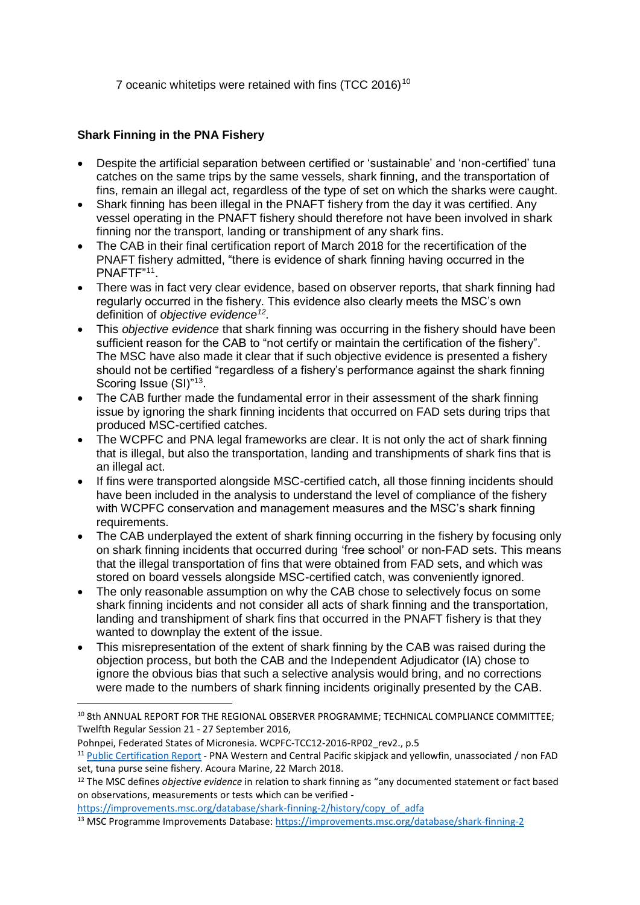7 oceanic whitetips were retained with fins (TCC 2016)<sup>10</sup>

## **Shark Finning in the PNA Fishery**

- Despite the artificial separation between certified or 'sustainable' and 'non-certified' tuna catches on the same trips by the same vessels, shark finning, and the transportation of fins, remain an illegal act, regardless of the type of set on which the sharks were caught.
- Shark finning has been illegal in the PNAFT fishery from the day it was certified. Any vessel operating in the PNAFT fishery should therefore not have been involved in shark finning nor the transport, landing or transhipment of any shark fins.
- The CAB in their final certification report of March 2018 for the recertification of the PNAFT fishery admitted, "there is evidence of shark finning having occurred in the PNAFTF"<sup>11</sup> .
- There was in fact very clear evidence, based on observer reports, that shark finning had regularly occurred in the fishery. This evidence also clearly meets the MSC's own definition of *objective evidence<sup>12</sup> .*
- This *objective evidence* that shark finning was occurring in the fishery should have been sufficient reason for the CAB to "not certify or maintain the certification of the fishery". The MSC have also made it clear that if such objective evidence is presented a fishery should not be certified "regardless of a fishery's performance against the shark finning Scoring Issue (SI)"<sup>13</sup>.
- The CAB further made the fundamental error in their assessment of the shark finning issue by ignoring the shark finning incidents that occurred on FAD sets during trips that produced MSC-certified catches.
- The WCPFC and PNA legal frameworks are clear. It is not only the act of shark finning that is illegal, but also the transportation, landing and transhipments of shark fins that is an illegal act.
- If fins were transported alongside MSC-certified catch, all those finning incidents should have been included in the analysis to understand the level of compliance of the fishery with WCPFC conservation and management measures and the MSC's shark finning requirements.
- The CAB underplayed the extent of shark finning occurring in the fishery by focusing only on shark finning incidents that occurred during 'free school' or non-FAD sets. This means that the illegal transportation of fins that were obtained from FAD sets, and which was stored on board vessels alongside MSC-certified catch, was conveniently ignored.
- The only reasonable assumption on why the CAB chose to selectively focus on some shark finning incidents and not consider all acts of shark finning and the transportation, landing and transhipment of shark fins that occurred in the PNAFT fishery is that they wanted to downplay the extent of the issue.
- This misrepresentation of the extent of shark finning by the CAB was raised during the objection process, but both the CAB and the Independent Adjudicator (IA) chose to ignore the obvious bias that such a selective analysis would bring, and no corrections were made to the numbers of shark finning incidents originally presented by the CAB.

<sup>10</sup> 8th ANNUAL REPORT FOR THE REGIONAL OBSERVER PROGRAMME; TECHNICAL COMPLIANCE COMMITTEE; Twelfth Regular Session 21 - 27 September 2016,

Pohnpei, Federated States of Micronesia. WCPFC-TCC12-2016-RP02\_rev2., p.5

<sup>11</sup> [Public Certification Report](https://fisheries.msc.org/en/fisheries/pna-western-and-central-pacific-skipjack-and-yellowfin-unassociated-non-fad-set-tuna-purse-seine/@@assessments) - PNA Western and Central Pacific skipjack and yellowfin, unassociated / non FAD set, tuna purse seine fishery. Acoura Marine, 22 March 2018.

<sup>12</sup> The MSC defines *objective evidence* in relation to shark finning as "any documented statement or fact based on observations, measurements or tests which can be verified -

[https://improvements.msc.org/database/shark-finning-2/history/copy\\_of\\_adfa](https://improvements.msc.org/database/shark-finning-2/history/copy_of_adfa)

<sup>13</sup> MSC Programme Improvements Database:<https://improvements.msc.org/database/shark-finning-2>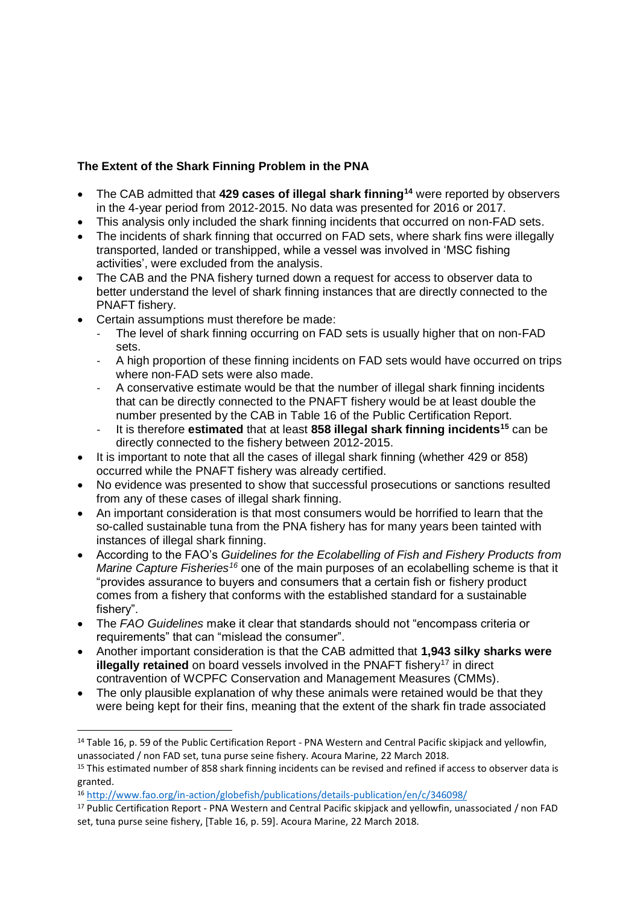# **The Extent of the Shark Finning Problem in the PNA**

- The CAB admitted that **429 cases of illegal shark finning<sup>14</sup>** were reported by observers in the 4-year period from 2012-2015. No data was presented for 2016 or 2017.
- This analysis only included the shark finning incidents that occurred on non-FAD sets.
- The incidents of shark finning that occurred on FAD sets, where shark fins were illegally transported, landed or transhipped, while a vessel was involved in 'MSC fishing activities', were excluded from the analysis.
- The CAB and the PNA fishery turned down a request for access to observer data to better understand the level of shark finning instances that are directly connected to the PNAFT fishery.
- Certain assumptions must therefore be made:
	- The level of shark finning occurring on FAD sets is usually higher that on non-FAD sets.
	- A high proportion of these finning incidents on FAD sets would have occurred on trips where non-FAD sets were also made.
	- A conservative estimate would be that the number of illegal shark finning incidents that can be directly connected to the PNAFT fishery would be at least double the number presented by the CAB in Table 16 of the Public Certification Report.
	- It is therefore **estimated** that at least **858 illegal shark finning incidents<sup>15</sup>** can be directly connected to the fishery between 2012-2015.
- It is important to note that all the cases of illegal shark finning (whether 429 or 858) occurred while the PNAFT fishery was already certified.
- No evidence was presented to show that successful prosecutions or sanctions resulted from any of these cases of illegal shark finning.
- An important consideration is that most consumers would be horrified to learn that the so-called sustainable tuna from the PNA fishery has for many years been tainted with instances of illegal shark finning.
- According to the FAO's *Guidelines for the Ecolabelling of Fish and Fishery Products from Marine Capture Fisheries<sup>16</sup>* one of the main purposes of an ecolabelling scheme is that it "provides assurance to buyers and consumers that a certain fish or fishery product comes from a fishery that conforms with the established standard for a sustainable fishery".
- The *FAO Guidelines* make it clear that standards should not "encompass criteria or requirements" that can "mislead the consumer".
- Another important consideration is that the CAB admitted that **1,943 silky sharks were illegally retained** on board vessels involved in the PNAFT fishery<sup>17</sup> in direct contravention of WCPFC Conservation and Management Measures (CMMs).
- The only plausible explanation of why these animals were retained would be that they were being kept for their fins, meaning that the extent of the shark fin trade associated

<sup>&</sup>lt;sup>14</sup> Table 16, p. 59 of the Public Certification Report - PNA Western and Central Pacific skipjack and yellowfin, unassociated / non FAD set, tuna purse seine fishery. Acoura Marine, 22 March 2018.

<sup>&</sup>lt;sup>15</sup> This estimated number of 858 shark finning incidents can be revised and refined if access to observer data is granted.

<sup>16</sup> <http://www.fao.org/in-action/globefish/publications/details-publication/en/c/346098/>

<sup>17</sup> Public Certification Report - PNA Western and Central Pacific skipjack and yellowfin, unassociated / non FAD set, tuna purse seine fishery, [Table 16, p. 59]. Acoura Marine, 22 March 2018.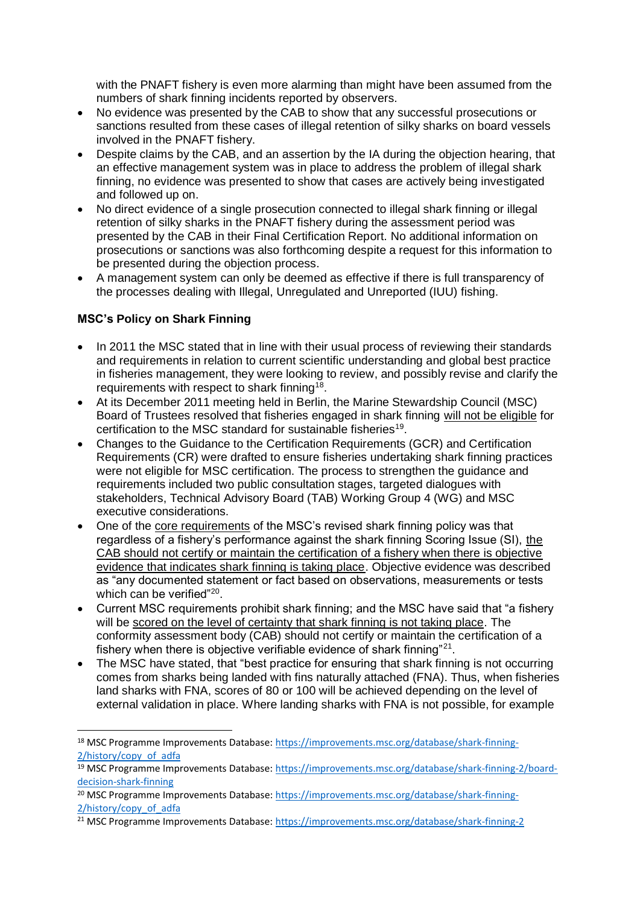with the PNAFT fishery is even more alarming than might have been assumed from the numbers of shark finning incidents reported by observers.

- No evidence was presented by the CAB to show that any successful prosecutions or sanctions resulted from these cases of illegal retention of silky sharks on board vessels involved in the PNAFT fishery.
- Despite claims by the CAB, and an assertion by the IA during the objection hearing, that an effective management system was in place to address the problem of illegal shark finning, no evidence was presented to show that cases are actively being investigated and followed up on.
- No direct evidence of a single prosecution connected to illegal shark finning or illegal retention of silky sharks in the PNAFT fishery during the assessment period was presented by the CAB in their Final Certification Report. No additional information on prosecutions or sanctions was also forthcoming despite a request for this information to be presented during the objection process.
- A management system can only be deemed as effective if there is full transparency of the processes dealing with Illegal, Unregulated and Unreported (IUU) fishing.

## **MSC's Policy on Shark Finning**

- In 2011 the MSC stated that in line with their usual process of reviewing their standards and requirements in relation to current scientific understanding and global best practice in fisheries management, they were looking to review, and possibly revise and clarify the requirements with respect to shark finning<sup>18</sup>.
- At its December 2011 meeting held in Berlin, the Marine Stewardship Council (MSC) Board of Trustees resolved that fisheries engaged in shark finning will not be eligible for certification to the MSC standard for sustainable fisheries<sup>19</sup>.
- Changes to the Guidance to the Certification Requirements (GCR) and Certification Requirements (CR) were drafted to ensure fisheries undertaking shark finning practices were not eligible for MSC certification. The process to strengthen the guidance and requirements included two public consultation stages, targeted dialogues with stakeholders, Technical Advisory Board (TAB) Working Group 4 (WG) and MSC executive considerations.
- One of the core requirements of the MSC's revised shark finning policy was that regardless of a fishery's performance against the shark finning Scoring Issue (SI), the CAB should not certify or maintain the certification of a fishery when there is objective evidence that indicates shark finning is taking place. Objective evidence was described as "any documented statement or fact based on observations, measurements or tests which can be verified"<sup>20</sup>.
- Current MSC requirements prohibit shark finning; and the MSC have said that "a fishery will be scored on the level of certainty that shark finning is not taking place. The conformity assessment body (CAB) should not certify or maintain the certification of a fishery when there is objective verifiable evidence of shark finning"<sup>21</sup>.
- The MSC have stated, that "best practice for ensuring that shark finning is not occurring comes from sharks being landed with fins naturally attached (FNA). Thus, when fisheries land sharks with FNA, scores of 80 or 100 will be achieved depending on the level of external validation in place. Where landing sharks with FNA is not possible, for example

<sup>18</sup> MSC Programme Improvements Database: [https://improvements.msc.org/database/shark-finning-](https://improvements.msc.org/database/shark-finning-2/history/copy_of_adfa)[2/history/copy\\_of\\_adfa](https://improvements.msc.org/database/shark-finning-2/history/copy_of_adfa)

<sup>&</sup>lt;sup>19</sup> MSC Programme Improvements Database: [https://improvements.msc.org/database/shark-finning-2/board](https://improvements.msc.org/database/shark-finning-2/board-decision-shark-finning)[decision-shark-finning](https://improvements.msc.org/database/shark-finning-2/board-decision-shark-finning)

<sup>&</sup>lt;sup>20</sup> MSC Programme Improvements Database: [https://improvements.msc.org/database/shark-finning-](https://improvements.msc.org/database/shark-finning-2/history/copy_of_adfa)[2/history/copy\\_of\\_adfa](https://improvements.msc.org/database/shark-finning-2/history/copy_of_adfa)

<sup>21</sup> MSC Programme Improvements Database:<https://improvements.msc.org/database/shark-finning-2>